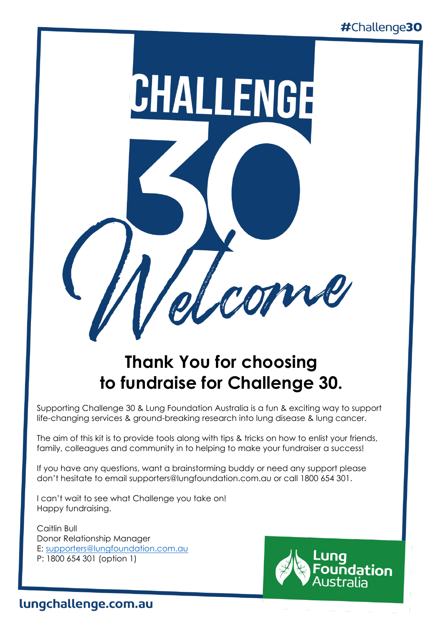

## **Thank You for choosing to fundraise for Challenge 30.**

Supporting Challenge 30 & Lung Foundation Australia is a fun & exciting way to support life-changing services & ground-breaking research into lung disease & lung cancer.

The aim of this kit is to provide tools along with tips & tricks on how to enlist your friends, family, colleagues and community in to helping to make your fundraiser a success!

If you have any questions, want a brainstorming buddy or need any support please don't hesitate to email supporters@lungfoundation.com.au or call 1800 654 301.

I can't wait to see what Challenge you take on! Happy fundraising.

Caitlin Bull Donor Relationship Manager E: [supporters@lungfoundation.com.au](mailto:supporters@lungfoundation.com.au) P: 1800 654 301 (option 1)



### lungchallenge.com.au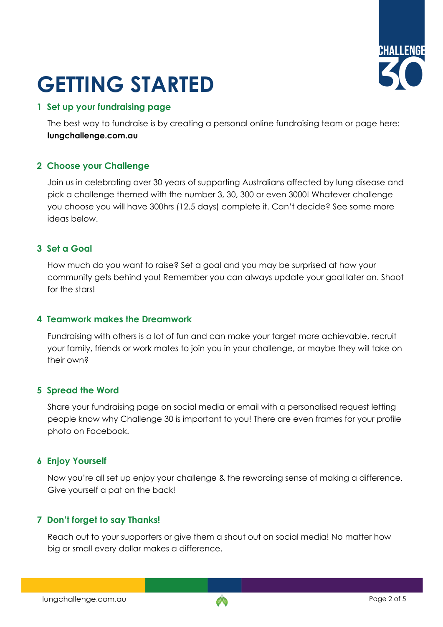# **GETTING STARTED**



#### **1 Set up your fundraising page**

The best way to fundraise is by creating a personal online fundraising team or page here: **lungchallenge.com.au** 

#### **2 Choose your Challenge**

Join us in celebrating over 30 years of supporting Australians affected by lung disease and pick a challenge themed with the number 3, 30, 300 or even 3000! Whatever challenge you choose you will have 300hrs (12.5 days) complete it. Can't decide? See some more ideas below.

#### **3 Set a Goal**

How much do you want to raise? Set a goal and you may be surprised at how your community gets behind you! Remember you can always update your goal later on. Shoot for the stars!

#### **4 Teamwork makes the Dreamwork**

Fundraising with others is a lot of fun and can make your target more achievable, recruit your family, friends or work mates to join you in your challenge, or maybe they will take on their own?

#### **5 Spread the Word**

Share your fundraising page on social media or email with a personalised request letting people know why Challenge 30 is important to you! There are even frames for your profile photo on Facebook.

#### **6 Enjoy Yourself**

Now you're all set up enjoy your challenge & the rewarding sense of making a difference. Give yourself a pat on the back!

#### **7 Don't forget to say Thanks!**

Reach out to your supporters or give them a shout out on social media! No matter how big or small every dollar makes a difference.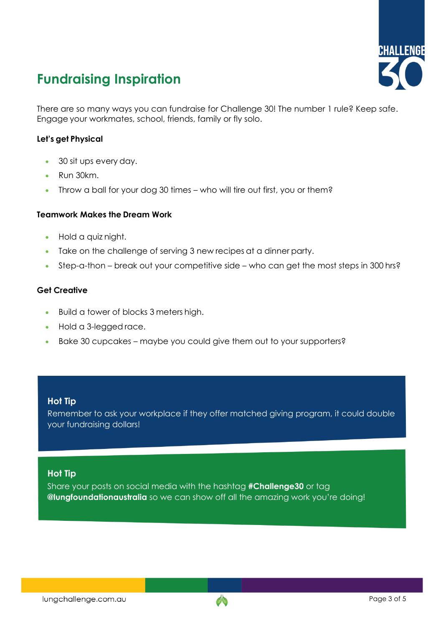### **Fundraising Inspiration**



There are so many ways you can fundraise for Challenge 30! The number 1 rule? Keep safe. Engage your workmates, school, friends, family or fly solo.

#### **Let's get Physical**

- 30 sit ups every day.
- Run 30km.
- Throw a ball for your dog 30 times who will tire out first, you or them?

#### **Teamwork Makes the Dream Work**

- Hold a quiz night.
- Take on the challenge of serving 3 new recipes at a dinner party.
- Step-a-thon break out your competitive side who can get the most steps in 300 hrs?

#### **Get Creative**

- Build a tower of blocks 3 meters high.
- Hold a 3-legged race.
- Bake 30 cupcakes maybe you could give them out to your supporters?

#### **Hot Tip**

Remember to ask your workplace if they offer matched giving program, it could double your fundraising dollars!

#### **Hot Tip**

Share your posts on social media with the hashtag **#Challenge30** or tag **@lungfoundationaustralia** so we can show off all the amazing work you're doing!

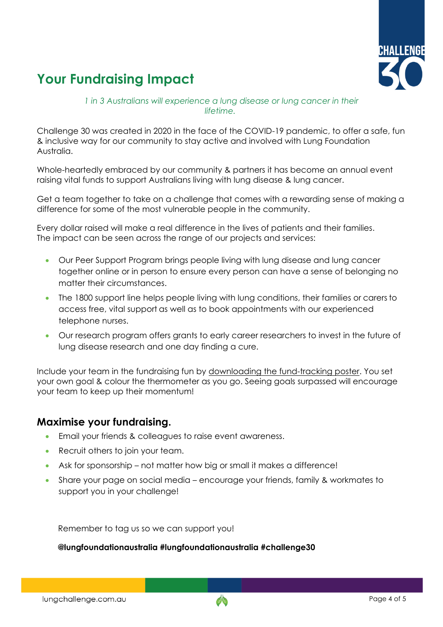### **Your Fundraising Impact**



*1 in 3 Australians will experience a lung disease or lung cancer in their lifetime.*

Challenge 30 was created in 2020 in the face of the COVID-19 pandemic, to offer a safe, fun & inclusive way for our community to stay active and involved with Lung Foundation Australia.

Whole-heartedly embraced by our community & partners it has become an annual event raising vital funds to support Australians living with lung disease & lung cancer.

Get a team together to take on a challenge that comes with a rewarding sense of making a difference for some of the most vulnerable people in the community.

Every dollar raised will make a real difference in the lives of patients and their families. The impact can be seen across the range of our projects and services:

- Our Peer Support Program brings people living with lung disease and lung cancer together online or in person to ensure every person can have a sense of belonging no matter their circumstances.
- The 1800 support line helps people living with lung conditions, their families or carers to access free, vital support as well as to book appointments with our experienced telephone nurses.
- Our research program offers grants to early career researchers to invest in the future of lung disease research and one day finding a cure.

Include your team in the fundraising fun by downloading the fund-tracking poster. You set your own goal & colour the thermometer as you go. Seeing goals surpassed will encourage your team to keep up their momentum!

#### **Maximise your fundraising.**

- Email your friends & colleagues to raise event awareness.
- Recruit others to join your team.
- Ask for sponsorship not matter how big or small it makes a difference!
- Share your page on social media encourage your friends, family & workmates to support you in your challenge!

Remember to tag us so we can support you!

**@lungfoundationaustralia #lungfoundationaustralia #challenge30**